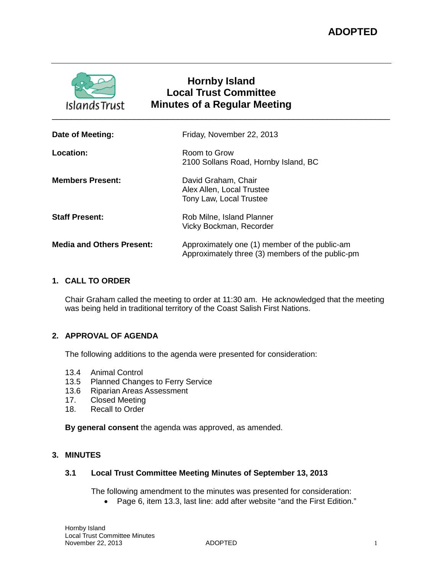

# **Hornby Island Local Trust Committee Minutes of a Regular Meeting** \_\_\_\_\_\_\_\_\_\_\_\_\_\_\_\_\_\_\_\_\_\_\_\_\_\_\_\_\_\_\_\_\_\_\_\_\_\_\_\_\_\_\_\_\_\_\_\_\_\_\_\_\_\_\_\_\_\_\_\_\_\_\_\_\_\_\_\_\_\_

|                  | Date of Meeting:                 | Friday, November 22, 2013                                                                         |
|------------------|----------------------------------|---------------------------------------------------------------------------------------------------|
| <b>Location:</b> |                                  | Room to Grow<br>2100 Sollans Road, Hornby Island, BC                                              |
|                  | <b>Members Present:</b>          | David Graham, Chair<br>Alex Allen, Local Trustee<br>Tony Law, Local Trustee                       |
|                  | <b>Staff Present:</b>            | Rob Milne, Island Planner<br>Vicky Bockman, Recorder                                              |
|                  | <b>Media and Others Present:</b> | Approximately one (1) member of the public-am<br>Approximately three (3) members of the public-pm |
|                  |                                  |                                                                                                   |

# **1. CALL TO ORDER**

Chair Graham called the meeting to order at 11:30 am. He acknowledged that the meeting was being held in traditional territory of the Coast Salish First Nations.

# **2. APPROVAL OF AGENDA**

The following additions to the agenda were presented for consideration:

- 13.4 Animal Control<br>13.5 Planned Chanc
- Planned Changes to Ferry Service
- 13.6 Riparian Areas Assessment<br>17. Closed Meeting
- Closed Meeting
- 18. Recall to Order

**By general consent** the agenda was approved, as amended.

# **3. MINUTES**

### **3.1 Local Trust Committee Meeting Minutes of September 13, 2013**

The following amendment to the minutes was presented for consideration:

• Page 6, item 13.3, last line: add after website "and the First Edition."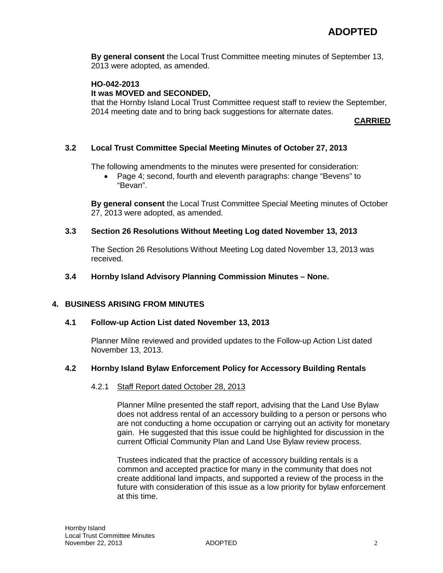**By general consent** the Local Trust Committee meeting minutes of September 13, 2013 were adopted, as amended.

# **HO-042-2013**

### **It was MOVED and SECONDED,**

that the Hornby Island Local Trust Committee request staff to review the September, 2014 meeting date and to bring back suggestions for alternate dates.

**CARRIED**

# **3.2 Local Trust Committee Special Meeting Minutes of October 27, 2013**

The following amendments to the minutes were presented for consideration:

• Page 4; second, fourth and eleventh paragraphs: change "Bevens" to "Bevan".

**By general consent** the Local Trust Committee Special Meeting minutes of October 27, 2013 were adopted, as amended.

#### **3.3 Section 26 Resolutions Without Meeting Log dated November 13, 2013**

The Section 26 Resolutions Without Meeting Log dated November 13, 2013 was received.

### **3.4 Hornby Island Advisory Planning Commission Minutes – None.**

#### **4. BUSINESS ARISING FROM MINUTES**

### **4.1 Follow-up Action List dated November 13, 2013**

Planner Milne reviewed and provided updates to the Follow-up Action List dated November 13, 2013.

#### **4.2 Hornby Island Bylaw Enforcement Policy for Accessory Building Rentals**

#### 4.2.1 Staff Report dated October 28, 2013

Planner Milne presented the staff report, advising that the Land Use Bylaw does not address rental of an accessory building to a person or persons who are not conducting a home occupation or carrying out an activity for monetary gain. He suggested that this issue could be highlighted for discussion in the current Official Community Plan and Land Use Bylaw review process.

Trustees indicated that the practice of accessory building rentals is a common and accepted practice for many in the community that does not create additional land impacts, and supported a review of the process in the future with consideration of this issue as a low priority for bylaw enforcement at this time.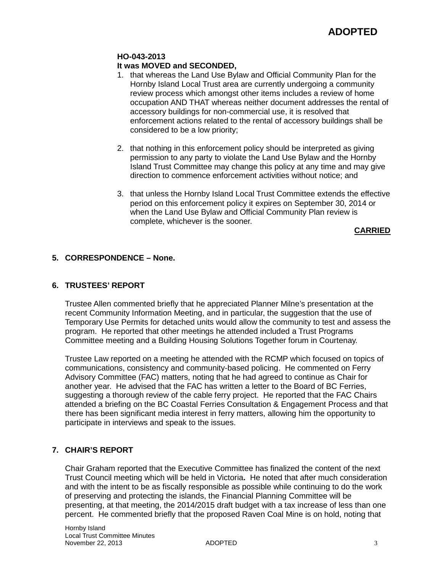### **HO-043-2013 It was MOVED and SECONDED,**

- 1. that whereas the Land Use Bylaw and Official Community Plan for the Hornby Island Local Trust area are currently undergoing a community review process which amongst other items includes a review of home occupation AND THAT whereas neither document addresses the rental of accessory buildings for non-commercial use, it is resolved that enforcement actions related to the rental of accessory buildings shall be considered to be a low priority;
- 2. that nothing in this enforcement policy should be interpreted as giving permission to any party to violate the Land Use Bylaw and the Hornby Island Trust Committee may change this policy at any time and may give direction to commence enforcement activities without notice; and
- 3. that unless the Hornby Island Local Trust Committee extends the effective period on this enforcement policy it expires on September 30, 2014 or when the Land Use Bylaw and Official Community Plan review is complete, whichever is the sooner.

**CARRIED**

# **5. CORRESPONDENCE – None.**

# **6. TRUSTEES' REPORT**

Trustee Allen commented briefly that he appreciated Planner Milne's presentation at the recent Community Information Meeting, and in particular, the suggestion that the use of Temporary Use Permits for detached units would allow the community to test and assess the program. He reported that other meetings he attended included a Trust Programs Committee meeting and a Building Housing Solutions Together forum in Courtenay.

Trustee Law reported on a meeting he attended with the RCMP which focused on topics of communications, consistency and community-based policing. He commented on Ferry Advisory Committee (FAC) matters, noting that he had agreed to continue as Chair for another year. He advised that the FAC has written a letter to the Board of BC Ferries, suggesting a thorough review of the cable ferry project. He reported that the FAC Chairs attended a briefing on the BC Coastal Ferries Consultation & Engagement Process and that there has been significant media interest in ferry matters, allowing him the opportunity to participate in interviews and speak to the issues.

# **7. CHAIR'S REPORT**

Chair Graham reported that the Executive Committee has finalized the content of the next Trust Council meeting which will be held in Victoria**.** He noted that after much consideration and with the intent to be as fiscally responsible as possible while continuing to do the work of preserving and protecting the islands, the Financial Planning Committee will be presenting, at that meeting, the 2014/2015 draft budget with a tax increase of less than one percent. He commented briefly that the proposed Raven Coal Mine is on hold, noting that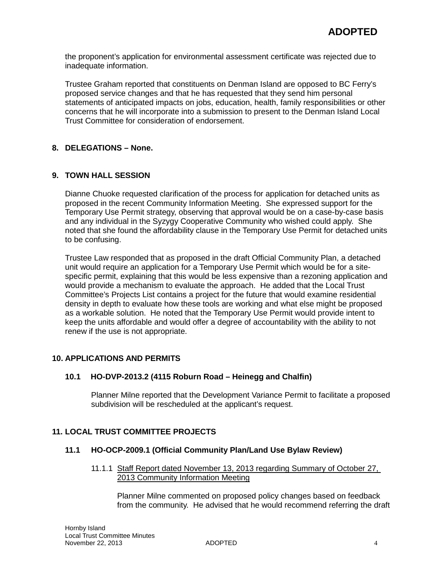the proponent's application for environmental assessment certificate was rejected due to inadequate information.

Trustee Graham reported that constituents on Denman Island are opposed to BC Ferry's proposed service changes and that he has requested that they send him personal statements of anticipated impacts on jobs, education, health, family responsibilities or other concerns that he will incorporate into a submission to present to the Denman Island Local Trust Committee for consideration of endorsement.

# **8. DELEGATIONS – None.**

# **9. TOWN HALL SESSION**

Dianne Chuoke requested clarification of the process for application for detached units as proposed in the recent Community Information Meeting. She expressed support for the Temporary Use Permit strategy, observing that approval would be on a case-by-case basis and any individual in the Syzygy Cooperative Community who wished could apply. She noted that she found the affordability clause in the Temporary Use Permit for detached units to be confusing.

Trustee Law responded that as proposed in the draft Official Community Plan, a detached unit would require an application for a Temporary Use Permit which would be for a sitespecific permit, explaining that this would be less expensive than a rezoning application and would provide a mechanism to evaluate the approach. He added that the Local Trust Committee's Projects List contains a project for the future that would examine residential density in depth to evaluate how these tools are working and what else might be proposed as a workable solution. He noted that the Temporary Use Permit would provide intent to keep the units affordable and would offer a degree of accountability with the ability to not renew if the use is not appropriate.

# **10. APPLICATIONS AND PERMITS**

#### **10.1 HO-DVP-2013.2 (4115 Roburn Road – Heinegg and Chalfin)**

Planner Milne reported that the Development Variance Permit to facilitate a proposed subdivision will be rescheduled at the applicant's request.

### **11. LOCAL TRUST COMMITTEE PROJECTS**

#### **11.1 HO-OCP-2009.1 (Official Community Plan/Land Use Bylaw Review)**

11.1.1 Staff Report dated November 13, 2013 regarding Summary of October 27, 2013 Community Information Meeting

Planner Milne commented on proposed policy changes based on feedback from the community. He advised that he would recommend referring the draft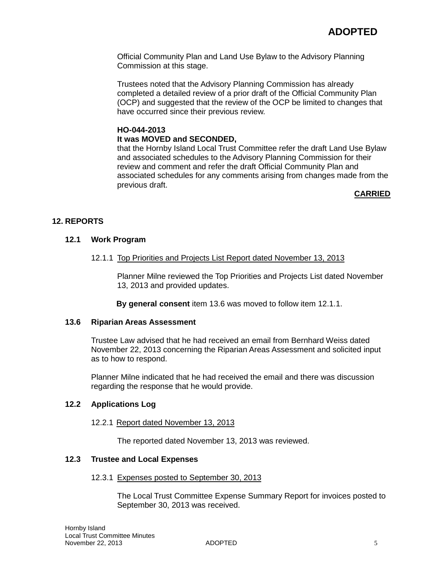Official Community Plan and Land Use Bylaw to the Advisory Planning Commission at this stage.

Trustees noted that the Advisory Planning Commission has already completed a detailed review of a prior draft of the Official Community Plan (OCP) and suggested that the review of the OCP be limited to changes that have occurred since their previous review.

# **HO-044-2013 It was MOVED and SECONDED,**

that the Hornby Island Local Trust Committee refer the draft Land Use Bylaw and associated schedules to the Advisory Planning Commission for their review and comment and refer the draft Official Community Plan and associated schedules for any comments arising from changes made from the previous draft.

# **CARRIED**

# **12. REPORTS**

### **12.1 Work Program**

### 12.1.1 Top Priorities and Projects List Report dated November 13, 2013

Planner Milne reviewed the Top Priorities and Projects List dated November 13, 2013 and provided updates.

**By general consent** item 13.6 was moved to follow item 12.1.1.

#### **13.6 Riparian Areas Assessment**

Trustee Law advised that he had received an email from Bernhard Weiss dated November 22, 2013 concerning the Riparian Areas Assessment and solicited input as to how to respond.

Planner Milne indicated that he had received the email and there was discussion regarding the response that he would provide.

# **12.2 Applications Log**

#### 12.2.1 Report dated November 13, 2013

The reported dated November 13, 2013 was reviewed.

# **12.3 Trustee and Local Expenses**

#### 12.3.1 Expenses posted to September 30, 2013

The Local Trust Committee Expense Summary Report for invoices posted to September 30, 2013 was received.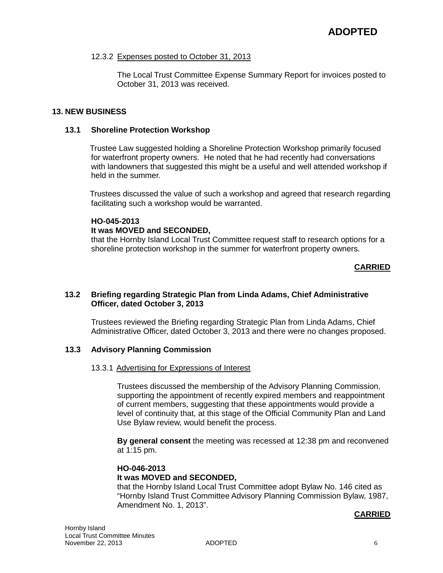#### 12.3.2 Expenses posted to October 31, 2013

The Local Trust Committee Expense Summary Report for invoices posted to October 31, 2013 was received.

### **13. NEW BUSINESS**

#### **13.1 Shoreline Protection Workshop**

Trustee Law suggested holding a Shoreline Protection Workshop primarily focused for waterfront property owners. He noted that he had recently had conversations with landowners that suggested this might be a useful and well attended workshop if held in the summer.

Trustees discussed the value of such a workshop and agreed that research regarding facilitating such a workshop would be warranted.

### **HO-045-2013**

#### **It was MOVED and SECONDED,**

that the Hornby Island Local Trust Committee request staff to research options for a shoreline protection workshop in the summer for waterfront property owners.

### **CARRIED**

### **13.2 Briefing regarding Strategic Plan from Linda Adams, Chief Administrative Officer, dated October 3, 2013**

Trustees reviewed the Briefing regarding Strategic Plan from Linda Adams, Chief Administrative Officer, dated October 3, 2013 and there were no changes proposed.

### **13.3 Advisory Planning Commission**

#### 13.3.1 Advertising for Expressions of Interest

Trustees discussed the membership of the Advisory Planning Commission, supporting the appointment of recently expired members and reappointment of current members, suggesting that these appointments would provide a level of continuity that, at this stage of the Official Community Plan and Land Use Bylaw review, would benefit the process.

**By general consent** the meeting was recessed at 12:38 pm and reconvened at 1:15 pm.

# **HO-046-2013**

# **It was MOVED and SECONDED,**

that the Hornby Island Local Trust Committee adopt Bylaw No. 146 cited as "Hornby Island Trust Committee Advisory Planning Commission Bylaw, 1987, Amendment No. 1, 2013".

#### **CARRIED**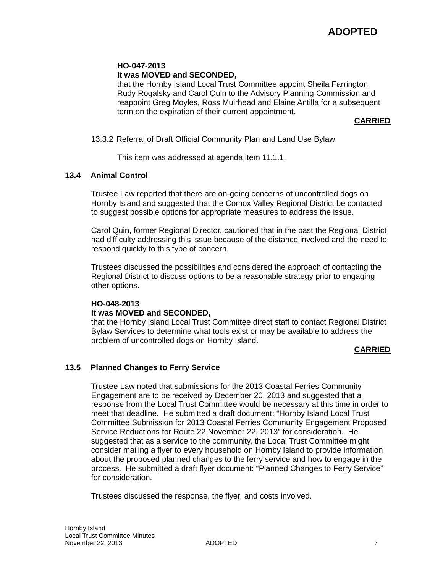# **HO-047-2013 It was MOVED and SECONDED,**

that the Hornby Island Local Trust Committee appoint Sheila Farrington, Rudy Rogalsky and Carol Quin to the Advisory Planning Commission and reappoint Greg Moyles, Ross Muirhead and Elaine Antilla for a subsequent term on the expiration of their current appointment.

**CARRIED**

### 13.3.2 Referral of Draft Official Community Plan and Land Use Bylaw

This item was addressed at agenda item 11.1.1.

### **13.4 Animal Control**

Trustee Law reported that there are on-going concerns of uncontrolled dogs on Hornby Island and suggested that the Comox Valley Regional District be contacted to suggest possible options for appropriate measures to address the issue.

Carol Quin, former Regional Director, cautioned that in the past the Regional District had difficulty addressing this issue because of the distance involved and the need to respond quickly to this type of concern.

Trustees discussed the possibilities and considered the approach of contacting the Regional District to discuss options to be a reasonable strategy prior to engaging other options.

# **HO-048-2013 It was MOVED and SECONDED,**

that the Hornby Island Local Trust Committee direct staff to contact Regional District Bylaw Services to determine what tools exist or may be available to address the problem of uncontrolled dogs on Hornby Island.

#### **CARRIED**

#### **13.5 Planned Changes to Ferry Service**

Trustee Law noted that submissions for the 2013 Coastal Ferries Community Engagement are to be received by December 20, 2013 and suggested that a response from the Local Trust Committee would be necessary at this time in order to meet that deadline. He submitted a draft document: "Hornby Island Local Trust Committee Submission for 2013 Coastal Ferries Community Engagement Proposed Service Reductions for Route 22 November 22, 2013" for consideration. He suggested that as a service to the community, the Local Trust Committee might consider mailing a flyer to every household on Hornby Island to provide information about the proposed planned changes to the ferry service and how to engage in the process. He submitted a draft flyer document: "Planned Changes to Ferry Service" for consideration.

Trustees discussed the response, the flyer, and costs involved.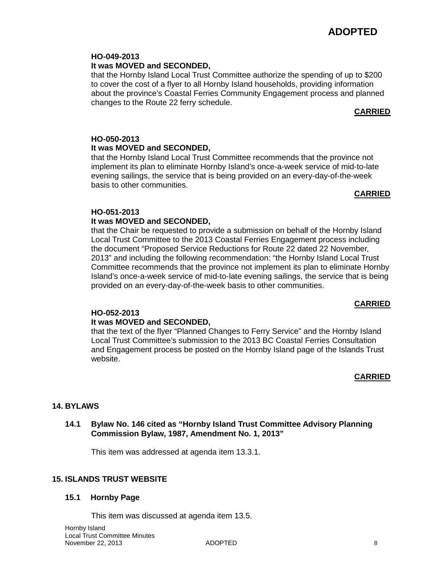#### **HO-049-2013 It was MOVED and SECONDED,**

that the Hornby Island Local Trust Committee authorize the spending of up to \$200 to cover the cost of a flyer to all Hornby Island households, providing information about the province's Coastal Ferries Community Engagement process and planned changes to the Route 22 ferry schedule.

# **CARRIED**

### **HO-050-2013 It was MOVED and SECONDED,**

that the Hornby Island Local Trust Committee recommends that the province not implement its plan to eliminate Hornby Island's once-a-week service of mid-to-late evening sailings, the service that is being provided on an every-day-of-the-week basis to other communities.

# **CARRIED**

# **HO-051-2013**

# **It was MOVED and SECONDED,**

that the Chair be requested to provide a submission on behalf of the Hornby Island Local Trust Committee to the 2013 Coastal Ferries Engagement process including the document "Proposed Service Reductions for Route 22 dated 22 November, 2013" and including the following recommendation: "the Hornby Island Local Trust Committee recommends that the province not implement its plan to eliminate Hornby Island's once-a-week service of mid-to-late evening sailings, the service that is being provided on an every-day-of-the-week basis to other communities.

# **CARRIED**

# **HO-052-2013**

# **It was MOVED and SECONDED,**

that the text of the flyer "Planned Changes to Ferry Service" and the Hornby Island Local Trust Committee's submission to the 2013 BC Coastal Ferries Consultation and Engagement process be posted on the Hornby Island page of the Islands Trust website.

# **CARRIED**

# **14. BYLAWS**

# **14.1 Bylaw No. 146 cited as "Hornby Island Trust Committee Advisory Planning Commission Bylaw, 1987, Amendment No. 1, 2013"**

This item was addressed at agenda item 13.3.1.

# **15. ISLANDS TRUST WEBSITE**

# **15.1 Hornby Page**

This item was discussed at agenda item 13.5.